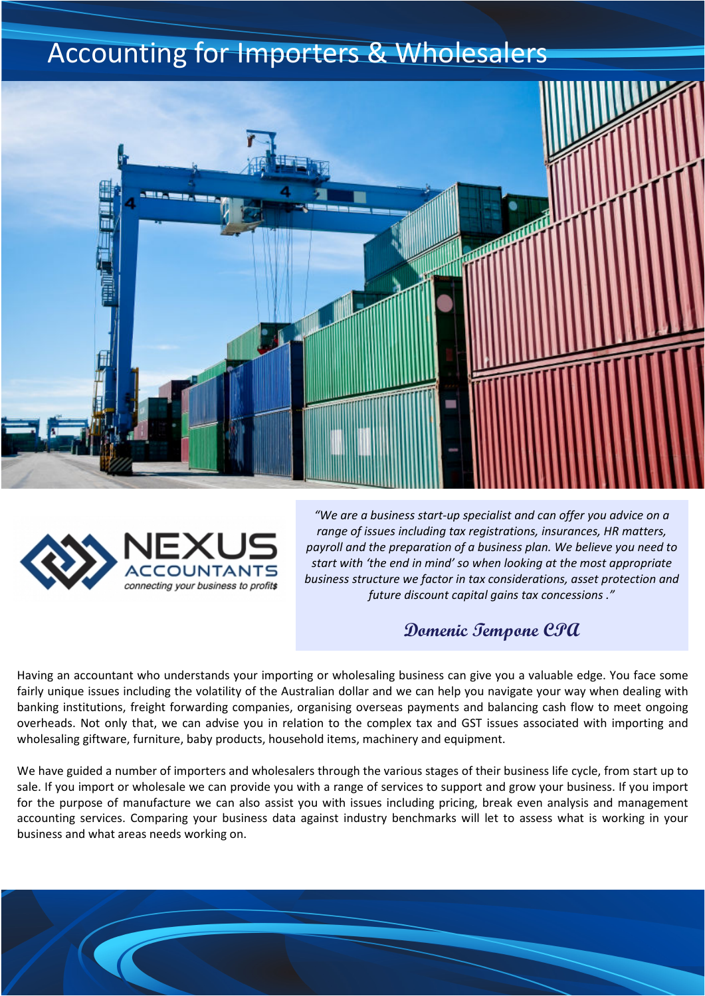## Accounting for Importers & Wholesalers





*"We are a business start-up specialist and can offer you advice on a range of issues including tax registrations, insurances, HR matters, payroll and the preparation of a business plan. We believe you need to start with 'the end in mind' so when looking at the most appropriate business structure we factor in tax considerations, asset protection and future discount capital gains tax concessions ."* 

**Domenic Tempone CPA** 

Having an accountant who understands your importing or wholesaling business can give you a valuable edge. You face some fairly unique issues including the volatility of the Australian dollar and we can help you navigate your way when dealing with banking institutions, freight forwarding companies, organising overseas payments and balancing cash flow to meet ongoing overheads. Not only that, we can advise you in relation to the complex tax and GST issues associated with importing and wholesaling giftware, furniture, baby products, household items, machinery and equipment.

We have guided a number of importers and wholesalers through the various stages of their business life cycle, from start up to sale. If you import or wholesale we can provide you with a range of services to support and grow your business. If you import for the purpose of manufacture we can also assist you with issues including pricing, break even analysis and management accounting services. Comparing your business data against industry benchmarks will let to assess what is working in your business and what areas needs working on.